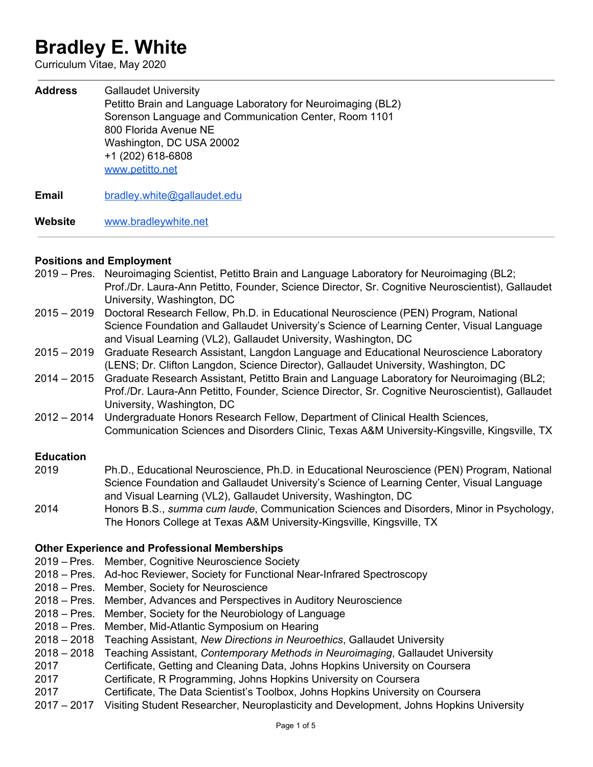# **Bradley E. White**

Curriculum Vitae, May 2020

**Address** Gallaudet University Petitto Brain and Language Laboratory for Neuroimaging (BL2) Sorenson Language and Communication Center, Room 1101 800 Florida Avenue NE Washington, DC USA 20002 +1 (202) 618-6808 [www.petitto.net](http://www.petitto.net/) **Email** [bradley.white@gallaudet.edu](mailto:bradley.white@gallaudet.edu)

**Website** [www.bradleywhite.net](http://www.bradleywhite.net/)

#### **Positions and Employment**

- 2019 Pres. Neuroimaging Scientist, Petitto Brain and Language Laboratory for Neuroimaging (BL2; Prof./Dr. Laura-Ann Petitto, Founder, Science Director, Sr. Cognitive Neuroscientist), Gallaudet University, Washington, DC
- 2015 2019 Doctoral Research Fellow, Ph.D. in Educational Neuroscience (PEN) Program, National Science Foundation and Gallaudet University's Science of Learning Center, Visual Language and Visual Learning (VL2), Gallaudet University, Washington, DC
- 2015 2019 Graduate Research Assistant, Langdon Language and Educational Neuroscience Laboratory (LENS; Dr. Clifton Langdon, Science Director), Gallaudet University, Washington, DC
- 2014 2015 Graduate Research Assistant, Petitto Brain and Language Laboratory for Neuroimaging (BL2; Prof./Dr. Laura-Ann Petitto, Founder, Science Director, Sr. Cognitive Neuroscientist), Gallaudet University, Washington, DC
- 2012 2014 Undergraduate Honors Research Fellow, Department of Clinical Health Sciences, Communication Sciences and Disorders Clinic, Texas A&M University-Kingsville, Kingsville, TX

#### **Education**

2019 Ph.D., Educational Neuroscience, Ph.D. in Educational Neuroscience (PEN) Program, National Science Foundation and Gallaudet University's Science of Learning Center, Visual Language and Visual Learning (VL2), Gallaudet University, Washington, DC 2014 Honors B.S., *summa cum laude*, Communication Sciences and Disorders, Minor in Psychology, The Honors College at Texas A&M University-Kingsville, Kingsville, TX

## **Other Experience and Professional Memberships**

- 2019 Pres. Member, Cognitive Neuroscience Society
- 2018 Pres. Ad-hoc Reviewer, Society for Functional Near-Infrared Spectroscopy
- 2018 Pres. Member, Society for Neuroscience
- 2018 Pres. Member, Advances and Perspectives in Auditory Neuroscience
- 2018 Pres. Member, Society for the Neurobiology of Language
- 2018 Pres. Member, Mid-Atlantic Symposium on Hearing
- 2018 2018 Teaching Assistant, *New Directions in Neuroethics*, Gallaudet University
- 2018 2018 Teaching Assistant, *Contemporary Methods in Neuroimaging*, Gallaudet University
- 2017 Certificate, Getting and Cleaning Data, Johns Hopkins University on Coursera
- 2017 Certificate, R Programming, Johns Hopkins University on Coursera
- 2017 Certificate, The Data Scientist's Toolbox, Johns Hopkins University on Coursera
- 2017 2017 Visiting Student Researcher, Neuroplasticity and Development, Johns Hopkins University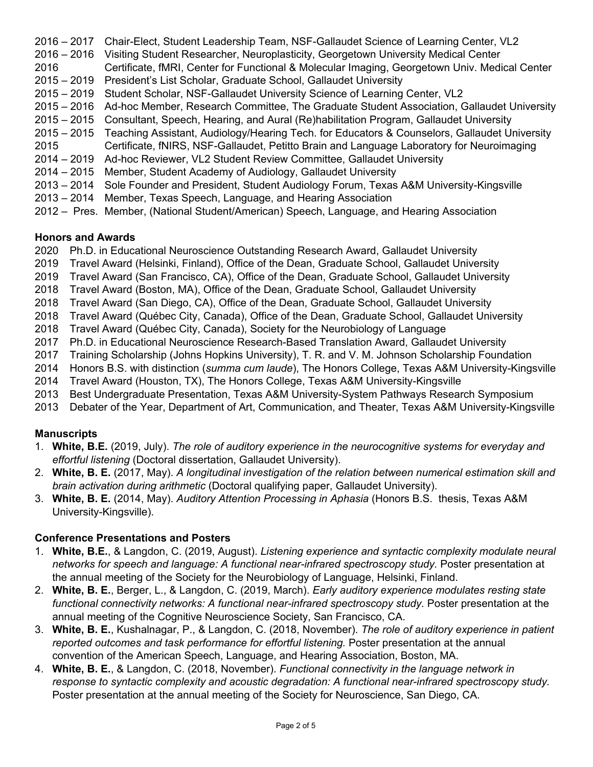– 2017 Chair-Elect, Student Leadership Team, NSF-Gallaudet Science of Learning Center, VL2 – 2016 Visiting Student Researcher, Neuroplasticity, Georgetown University Medical Center Certificate, fMRI, Center for Functional & Molecular Imaging, Georgetown Univ. Medical Center – 2019 President's List Scholar, Graduate School, Gallaudet University – 2019 Student Scholar, NSF-Gallaudet University Science of Learning Center, VL2 – 2016 Ad-hoc Member, Research Committee, The Graduate Student Association, Gallaudet University – 2015 Consultant, Speech, Hearing, and Aural (Re)habilitation Program, Gallaudet University – 2015 Teaching Assistant, Audiology/Hearing Tech. for Educators & Counselors, Gallaudet University Certificate, fNIRS, NSF-Gallaudet, Petitto Brain and Language Laboratory for Neuroimaging – 2019 Ad-hoc Reviewer, VL2 Student Review Committee, Gallaudet University – 2015 Member, Student Academy of Audiology, Gallaudet University – 2014 Sole Founder and President, Student Audiology Forum, Texas A&M University-Kingsville – 2014 Member, Texas Speech, Language, and Hearing Association – Pres. Member, (National Student/American) Speech, Language, and Hearing Association

# **Honors and Awards**

- 2020 Ph.D. in Educational Neuroscience Outstanding Research Award, Gallaudet University
- 2019 Travel Award (Helsinki, Finland), Office of the Dean, Graduate School, Gallaudet University
- 2019 Travel Award (San Francisco, CA), Office of the Dean, Graduate School, Gallaudet University
- 2018 Travel Award (Boston, MA), Office of the Dean, Graduate School, Gallaudet University
- 2018 Travel Award (San Diego, CA), Office of the Dean, Graduate School, Gallaudet University
- 2018 Travel Award (Québec City, Canada), Office of the Dean, Graduate School, Gallaudet University
- 2018 Travel Award (Québec City, Canada), Society for the Neurobiology of Language
- 2017 Ph.D. in Educational Neuroscience Research-Based Translation Award, Gallaudet University
- 2017 Training Scholarship (Johns Hopkins University), T. R. and V. M. Johnson Scholarship Foundation
- 2014 Honors B.S. with distinction (*summa cum laude*), The Honors College, Texas A&M University-Kingsville
- 2014 Travel Award (Houston, TX), The Honors College, Texas A&M University-Kingsville
- 2013 Best Undergraduate Presentation, Texas A&M University-System Pathways Research Symposium
- 2013 Debater of the Year, Department of Art, Communication, and Theater, Texas A&M University-Kingsville

# **Manuscripts**

- 1. **White, B.E.** (2019, July). *The role of auditory experience in the neurocognitive systems for everyday and effortful listening* (Doctoral dissertation, Gallaudet University).
- 2. **White, B. E.** (2017, May). *A longitudinal investigation of the relation between numerical estimation skill and brain activation during arithmetic* (Doctoral qualifying paper, Gallaudet University).
- 3. **White, B. E.** (2014, May). *Auditory Attention Processing in Aphasia* (Honors B.S. thesis, Texas A&M University-Kingsville).

# **Conference Presentations and Posters**

- 1. **White, B.E.**, & Langdon, C. (2019, August). *Listening experience and syntactic complexity modulate neural networks for speech and language: A functional near-infrared spectroscopy study.* Poster presentation at the annual meeting of the Society for the Neurobiology of Language, Helsinki, Finland.
- 2. **White, B. E.**, Berger, L., & Langdon, C. (2019, March). *Early auditory experience modulates resting state functional connectivity networks: A functional near-infrared spectroscopy study.* Poster presentation at the annual meeting of the Cognitive Neuroscience Society, San Francisco, CA.
- 3. **White, B. E.**, Kushalnagar, P., & Langdon, C. (2018, November). *The role of auditory experience in patient reported outcomes and task performance for effortful listening.* Poster presentation at the annual convention of the American Speech, Language, and Hearing Association, Boston, MA.
- 4. **White, B. E.**, & Langdon, C. (2018, November). *Functional connectivity in the language network in response to syntactic complexity and acoustic degradation: A functional near-infrared spectroscopy study.* Poster presentation at the annual meeting of the Society for Neuroscience, San Diego, CA.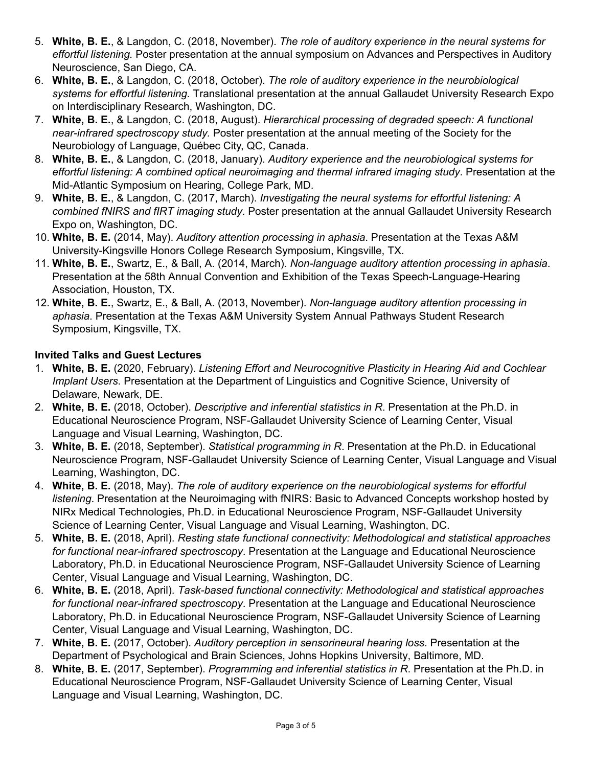- 5. **White, B. E.**, & Langdon, C. (2018, November). *The role of auditory experience in the neural systems for effortful listening.* Poster presentation at the annual symposium on Advances and Perspectives in Auditory Neuroscience, San Diego, CA.
- 6. **White, B. E.**, & Langdon, C. (2018, October). *The role of auditory experience in the neurobiological systems for effortful listening.* Translational presentation at the annual Gallaudet University Research Expo on Interdisciplinary Research, Washington, DC.
- 7. **White, B. E.**, & Langdon, C. (2018, August). *Hierarchical processing of degraded speech: A functional near-infrared spectroscopy study.* Poster presentation at the annual meeting of the Society for the Neurobiology of Language, Québec City, QC, Canada.
- 8. **White, B. E.**, & Langdon, C. (2018, January). *Auditory experience and the neurobiological systems for effortful listening: A combined optical neuroimaging and thermal infrared imaging study*. Presentation at the Mid-Atlantic Symposium on Hearing, College Park, MD.
- 9. **White, B. E.**, & Langdon, C. (2017, March). *Investigating the neural systems for effortful listening: A combined fNIRS and fIRT imaging study*. Poster presentation at the annual Gallaudet University Research Expo on, Washington, DC.
- 10. **White, B. E.** (2014, May). *Auditory attention processing in aphasia*. Presentation at the Texas A&M University-Kingsville Honors College Research Symposium, Kingsville, TX.
- 11. **White, B. E.**, Swartz, E., & Ball, A. (2014, March). *Non-language auditory attention processing in aphasia*. Presentation at the 58th Annual Convention and Exhibition of the Texas Speech-Language-Hearing Association, Houston, TX.
- 12. **White, B. E.**, Swartz, E., & Ball, A. (2013, November). *Non-language auditory attention processing in aphasia*. Presentation at the Texas A&M University System Annual Pathways Student Research Symposium, Kingsville, TX.

# **Invited Talks and Guest Lectures**

- 1. **White, B. E.** (2020, February). *Listening Effort and Neurocognitive Plasticity in Hearing Aid and Cochlear Implant Users*. Presentation at the Department of Linguistics and Cognitive Science, University of Delaware, Newark, DE.
- 2. **White, B. E.** (2018, October). *Descriptive and inferential statistics in R*. Presentation at the Ph.D. in Educational Neuroscience Program, NSF-Gallaudet University Science of Learning Center, Visual Language and Visual Learning, Washington, DC.
- 3. **White, B. E.** (2018, September). *Statistical programming in R*. Presentation at the Ph.D. in Educational Neuroscience Program, NSF-Gallaudet University Science of Learning Center, Visual Language and Visual Learning, Washington, DC.
- 4. **White, B. E.** (2018, May). *The role of auditory experience on the neurobiological systems for effortful listening*. Presentation at the Neuroimaging with fNIRS: Basic to Advanced Concepts workshop hosted by NIRx Medical Technologies, Ph.D. in Educational Neuroscience Program, NSF-Gallaudet University Science of Learning Center, Visual Language and Visual Learning, Washington, DC.
- 5. **White, B. E.** (2018, April). *Resting state functional connectivity: Methodological and statistical approaches for functional near-infrared spectroscopy*. Presentation at the Language and Educational Neuroscience Laboratory, Ph.D. in Educational Neuroscience Program, NSF-Gallaudet University Science of Learning Center, Visual Language and Visual Learning, Washington, DC.
- 6. **White, B. E.** (2018, April). *Task-based functional connectivity: Methodological and statistical approaches for functional near-infrared spectroscopy*. Presentation at the Language and Educational Neuroscience Laboratory, Ph.D. in Educational Neuroscience Program, NSF-Gallaudet University Science of Learning Center, Visual Language and Visual Learning, Washington, DC.
- 7. **White, B. E.** (2017, October). *Auditory perception in sensorineural hearing loss*. Presentation at the Department of Psychological and Brain Sciences, Johns Hopkins University, Baltimore, MD.
- 8. **White, B. E.** (2017, September). *Programming and inferential statistics in R*. Presentation at the Ph.D. in Educational Neuroscience Program, NSF-Gallaudet University Science of Learning Center, Visual Language and Visual Learning, Washington, DC.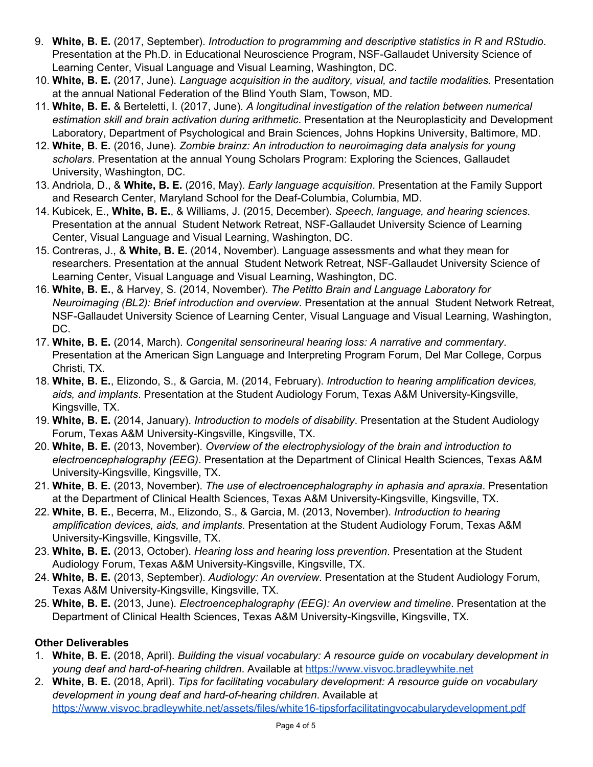- 9. **White, B. E.** (2017, September). *Introduction to programming and descriptive statistics in R and RStudio*. Presentation at the Ph.D. in Educational Neuroscience Program, NSF-Gallaudet University Science of Learning Center, Visual Language and Visual Learning, Washington, DC.
- 10. **White, B. E.** (2017, June). *Language acquisition in the auditory, visual, and tactile modalities*. Presentation at the annual National Federation of the Blind Youth Slam, Towson, MD.
- 11. **White, B. E.** & Berteletti, I. (2017, June). *A longitudinal investigation of the relation between numerical estimation skill and brain activation during arithmetic*. Presentation at the Neuroplasticity and Development Laboratory, Department of Psychological and Brain Sciences, Johns Hopkins University, Baltimore, MD.
- 12. **White, B. E.** (2016, June). *Zombie brainz: An introduction to neuroimaging data analysis for young scholars*. Presentation at the annual Young Scholars Program: Exploring the Sciences, Gallaudet University, Washington, DC.
- 13. Andriola, D., & **White, B. E.** (2016, May). *Early language acquisition*. Presentation at the Family Support and Research Center, Maryland School for the Deaf-Columbia, Columbia, MD.
- 14. Kubicek, E., **White, B. E.**, & Williams, J. (2015, December). *Speech, language, and hearing sciences*. Presentation at the annual Student Network Retreat, NSF-Gallaudet University Science of Learning Center, Visual Language and Visual Learning, Washington, DC.
- 15. Contreras, J., & **White, B. E.** (2014, November). Language assessments and what they mean for researchers. Presentation at the annual Student Network Retreat, NSF-Gallaudet University Science of Learning Center, Visual Language and Visual Learning, Washington, DC.
- 16. **White, B. E.**, & Harvey, S. (2014, November). *The Petitto Brain and Language Laboratory for Neuroimaging (BL2): Brief introduction and overview*. Presentation at the annual Student Network Retreat, NSF-Gallaudet University Science of Learning Center, Visual Language and Visual Learning, Washington, DC.
- 17. **White, B. E.** (2014, March). *Congenital sensorineural hearing loss: A narrative and commentary*. Presentation at the American Sign Language and Interpreting Program Forum, Del Mar College, Corpus Christi, TX.
- 18. **White, B. E.**, Elizondo, S., & Garcia, M. (2014, February). *Introduction to hearing amplification devices, aids, and implants*. Presentation at the Student Audiology Forum, Texas A&M University-Kingsville, Kingsville, TX.
- 19. **White, B. E.** (2014, January). *Introduction to models of disability*. Presentation at the Student Audiology Forum, Texas A&M University-Kingsville, Kingsville, TX.
- 20. **White, B. E.** (2013, November). *Overview of the electrophysiology of the brain and introduction to electroencephalography (EEG)*. Presentation at the Department of Clinical Health Sciences, Texas A&M University-Kingsville, Kingsville, TX.
- 21. **White, B. E.** (2013, November). *The use of electroencephalography in aphasia and apraxia*. Presentation at the Department of Clinical Health Sciences, Texas A&M University-Kingsville, Kingsville, TX.
- 22. **White, B. E.**, Becerra, M., Elizondo, S., & Garcia, M. (2013, November). *Introduction to hearing amplification devices, aids, and implants*. Presentation at the Student Audiology Forum, Texas A&M University-Kingsville, Kingsville, TX.
- 23. **White, B. E.** (2013, October). *Hearing loss and hearing loss prevention*. Presentation at the Student Audiology Forum, Texas A&M University-Kingsville, Kingsville, TX.
- 24. **White, B. E.** (2013, September). *Audiology: An overview*. Presentation at the Student Audiology Forum, Texas A&M University-Kingsville, Kingsville, TX.
- 25. **White, B. E.** (2013, June). *Electroencephalography (EEG): An overview and timeline*. Presentation at the Department of Clinical Health Sciences, Texas A&M University-Kingsville, Kingsville, TX.

## **Other Deliverables**

- 1. **White, B. E.** (2018, April). *Building the visual vocabulary: A resource guide on vocabulary development in young deaf and hard-of-hearing children*. Available at [https://www.visvoc.bradleywhite.net](https://www.visvoc.bradleywhite.net/)
- 2. **White, B. E.** (2018, April). *Tips for facilitating vocabulary development: A resource guide on vocabulary development in young deaf and hard-of-hearing children*. Available at <https://www.visvoc.bradleywhite.net/assets/files/white16-tipsforfacilitatingvocabularydevelopment.pdf>